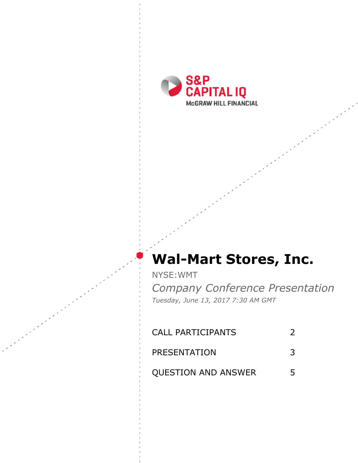

# **Wal-Mart Stores, Inc.**

NYSE:WMT

*Company Conference Presentation Tuesday, June 13, 2017 7:30 AM GMT*

| <b>CALL PARTICIPANTS</b>   |   |
|----------------------------|---|
| PRESENTATION               | 3 |
| <b>QUESTION AND ANSWER</b> | 5 |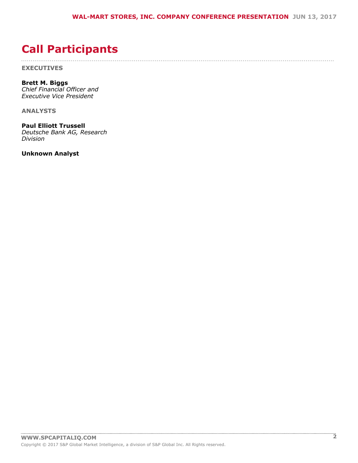## $!$  " # \$

<span id="page-1-0"></span> $\%$  $8<sup>8</sup>$ 

 $($  (  $)$  )) \$

 $\star$  $+$  \* \$ \$ (

#, # + - # #  $\cdot$  \$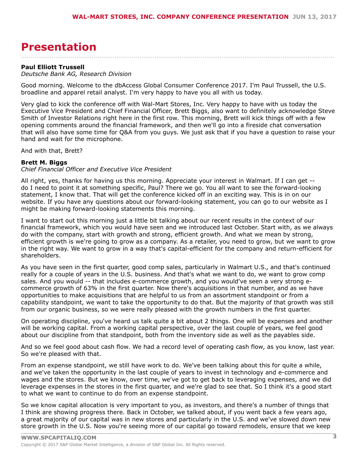### <span id="page-2-0"></span> $(S(H + H$

 $+$   $*$  \$ \$ (

|           |    |                          | $#$ ' |   |  |    |             |                            |        | $\frac{1}{8}$  |                                                                                                                                                                                                                                                                                                                     |  |                            |                                                            |           | # $)$ & ( $*$ (!!) |     |                                |  |  |
|-----------|----|--------------------------|-------|---|--|----|-------------|----------------------------|--------|----------------|---------------------------------------------------------------------------------------------------------------------------------------------------------------------------------------------------------------------------------------------------------------------------------------------------------------------|--|----------------------------|------------------------------------------------------------|-----------|--------------------|-----|--------------------------------|--|--|
|           |    |                          |       |   |  |    | $!$ # $)$ & |                            |        |                |                                                                                                                                                                                                                                                                                                                     |  |                            | $\left( \begin{array}{ccc} 1 & \cdots \end{array} \right)$ |           | #                  |     |                                |  |  |
| $\sim$    |    |                          |       |   |  |    | <b>HH</b>   |                            |        |                |                                                                                                                                                                                                                                                                                                                     |  |                            |                                                            |           |                    |     |                                |  |  |
| $\cdot$ / |    | $\overline{\phantom{a}}$ |       |   |  |    | "0"         |                            | $1$ "" | $\overline{2}$ | 2                                                                                                                                                                                                                                                                                                                   |  |                            |                                                            | $\sim 10$ |                    |     |                                |  |  |
| &         | Ш, |                          |       | % |  |    |             |                            |        |                | $" \vdots$ , $\#^* \vdots$ &                                                                                                                                                                                                                                                                                        |  | $\overline{\phantom{0}}^2$ |                                                            |           |                    |     | $\sim$ 1 $^{-0.00}$ $^{-0.00}$ |  |  |
|           |    |                          | && !  |   |  | л, |             | $\overline{\phantom{a}}$ 8 |        |                |                                                                                                                                                                                                                                                                                                                     |  |                            | л,                                                         |           |                    |     |                                |  |  |
|           |    |                          |       |   |  |    |             |                            |        |                | $\frac{1}{2}$ $\frac{1}{2}$ $\frac{1}{2}$ $\frac{1}{2}$ $\frac{1}{2}$ $\frac{1}{2}$ $\frac{1}{2}$ $\frac{1}{2}$ $\frac{1}{2}$ $\frac{1}{2}$ $\frac{1}{2}$ $\frac{1}{2}$ $\frac{1}{2}$ $\frac{1}{2}$ $\frac{1}{2}$ $\frac{1}{2}$ $\frac{1}{2}$ $\frac{1}{2}$ $\frac{1}{2}$ $\frac{1}{2}$ $\frac{1}{2}$ $\frac{1}{2}$ |  |                            |                                                            |           |                    | 5(! |                                |  |  |
|           |    |                          |       |   |  |    |             |                            |        |                |                                                                                                                                                                                                                                                                                                                     |  |                            |                                                            |           |                    |     |                                |  |  |

#### $\sqrt[3]{5}$ ,  $\sqrt{2}$  6

 $\sim$  (  $\sim$  $\left( \begin{array}{c} 0 \\ 1 \end{array} \right)$  ) \$

 $\frac{1}{2}$   $\frac{1}{2}$   $\frac{1}{2}$   $\frac{1}{2}$   $\frac{1}{2}$   $\frac{1}{2}$   $\frac{1}{2}$   $\frac{1}{2}$   $\frac{1}{2}$   $\frac{1}{2}$   $\frac{1}{2}$   $\frac{1}{2}$   $\frac{1}{2}$   $\frac{1}{2}$   $\frac{1}{2}$   $\frac{1}{2}$   $\frac{1}{2}$   $\frac{1}{2}$   $\frac{1}{2}$   $\frac{1}{2}$   $\frac{1}{2}$   $\frac{1}{2}$   $\frac{1}{2}$ #\* L - &  $5($   $\frac{1}{1}$   $\frac{1}{8}$   $\frac{1}{1}$   $\frac{1}{8}$   $\frac{1}{1}$   $\frac{1}{8}$  $\sim 10^{-11}$  $8<sub>1</sub>$ ,<br>&  $\mathbf{I}$  $\#$  " (  $1 - 1$  $#$ &

 $\sqrt{2}$  $98$  $\begin{matrix} 8 \\ 0 \end{matrix}$  $, -1$  $#$  $\boldsymbol{\alpha}$ &  $\label{eq:1.1} \,, \qquad \quad \, \mathbb{I} \ \ ,$  $\left( \begin{array}{c} 1 \end{array} \right)$  $,$  #'  $!$ #  $\mathbf{I}$  and

 $$!$  $)!$  $\left($  $\alpha$  $!$   $!$  #\$ & &  $(8)$  $\begin{array}{c} 1, \\ 8 \end{array}$  $\overline{a}$  $\blacksquare$  $\left\vert \begin{array}{cc} 1 & \ , \end{array} \right\vert$ " &  $($ "!  $5($  $#$ 

 $($   $\frac{! \# 1}{!}$ ,  $\frac{1}{!}$  $5($  $\begin{array}{c} 1 \end{array}$ <br> $\begin{array}{c} 1 \end{array}$  $\mathbf{I}$  $\frac{1}{2}$ "  $\&$  $\mathbf{1} \in \mathbf{1}$ ,  $\mathbf{1}$ 

 $\mathbf{1}$ ,  $\mathbf{I} = \mathbf{I}$  $($ ,  $\frac{1}{2}$ \$  $\mathcal{L} = \mathcal{L}$  $#$ 

 $( \qquad \ \, !\quad \ \, {\bf 5}(\quad \quad \ \, ,\quad \ \,$   $\quad \ \, \&\,\, \&\,\,$  $0 & 8$  / !!  $\left( \right)$  $\begin{array}{cccc} 6 & 6 & 6 \\ 1 & 1 & 5 & 6 \\ 1 & 8 & 7 & 1 \end{array}$  $!#2($ ,  $\mathbf{I}$  $\frac{1}{2}$   $\frac{1 \#Z(1)}{2}$   $\frac{1}{2}$   $\frac{1}{2}$   $\frac{1}{2}$   $\frac{1}{2}$   $\frac{1}{2}$   $\frac{1}{2}$   $\frac{1}{2}$   $\frac{1}{2}$   $\frac{1}{2}$   $\frac{1}{2}$   $\frac{1}{2}$   $\frac{1}{2}$   $\frac{1}{2}$   $\frac{1}{2}$   $\frac{1}{2}$   $\frac{1}{2}$   $\frac{1}{2}$   $\frac{1}{2}$   $\frac{1}{2}$   $\frac{1$  $\begin{array}{cc} \text{ } & \text{ } \\ \text{ } & \text{ } \\ \text{ } & \text{ } \\ & \text{ } \\ & \text{ } \\ & \text{ } \\ & \text{ } \\ & \text{ } \\ & \text{ } \\ & \text{ } \\ & \text{ } \\ & \text{ } \\ & \text{ } \\ & \text{ } \\ & \text{ } \\ & \text{ } \\ & \text{ } \\ & \text{ } \\ & \text{ } \\ & \text{ } \\ & \text{ } \\ & \text{ } \\ & \text{ } \\ & \text{ } \\ & \text{ } \\ & \text{ } \\ & \text{ } \\ & \text{ } \\ & \text{ } \\ & \text{ } \\ & \text{ } \\ & \text{ } \\ & \text{ } \\ & \text$  $1 - 1$  $\frac{1}{2}$  $\sqrt{ }$  $#$  $\sim$  1

 $($   $\vdots$   $\vdots$   $\vdots$  $)!$  $(8)$  $($  "  $($ "  $\left($  $\overline{a}$ & 4  $+##$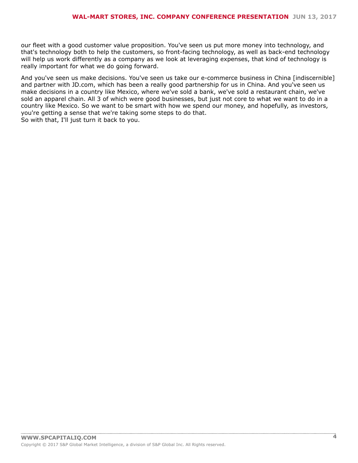|  |                                                                                                                                                                                                                                                                                                        |  | $($ ", $($ $($ & $($ $)$ $)$ $($ $)$ $($ $($ $)$ $($ $)$ $($ $)$ $($ $)$ $($ $)$ $($ $)$ $($ $)$ $($ $)$ $($ $)$ $($ $)$ $($ $)$ $($ $)$ $($ $)$ $($ $)$ $($ $)$ $($ $)$ $($ $)$ $($ $)$ $($ $)$ $($ $)$ $($ $)$ $($ $)$ $($ |  |  |                                                                                                                                                                                                                                                                                                                          |  |
|--|--------------------------------------------------------------------------------------------------------------------------------------------------------------------------------------------------------------------------------------------------------------------------------------------------------|--|------------------------------------------------------------------------------------------------------------------------------------------------------------------------------------------------------------------------------|--|--|--------------------------------------------------------------------------------------------------------------------------------------------------------------------------------------------------------------------------------------------------------------------------------------------------------------------------|--|
|  |                                                                                                                                                                                                                                                                                                        |  | $(1 \quad 8 \quad 1 \quad 1 \quad 1 \quad 1)$                                                                                                                                                                                |  |  |                                                                                                                                                                                                                                                                                                                          |  |
|  | $\mathbf{R}$ , $\mathbf{R}$ (1, $\mathbf{R}$ and $\mathbf{R}$ and $\mathbf{R}$ are $\mathbf{R}$ and $\mathbf{R}$ are $\mathbf{R}$ and $\mathbf{R}$ are $\mathbf{R}$ and $\mathbf{R}$ are $\mathbf{R}$ and $\mathbf{R}$ are $\mathbf{R}$ are $\mathbf{R}$ and $\mathbf{R}$ are $\mathbf{R}$ are $\math$ |  |                                                                                                                                                                                                                              |  |  | $\sqrt{1}$ $\frac{1}{2}$ $\frac{1}{2}$ $\frac{1}{2}$ $\frac{1}{2}$ $\frac{1}{2}$ $\frac{1}{2}$ $\frac{1}{2}$ $\frac{1}{2}$ $\frac{1}{2}$ $\frac{1}{2}$ $\frac{1}{2}$ $\frac{1}{2}$ $\frac{1}{2}$ $\frac{1}{2}$ $\frac{1}{2}$ $\frac{1}{2}$ $\frac{1}{2}$ $\frac{1}{2}$ $\frac{1}{2}$ $\frac{1}{2}$ $\frac{1}{2}$ $\frac$ |  |
|  | 8. ", , ", #                                                                                                                                                                                                                                                                                           |  |                                                                                                                                                                                                                              |  |  |                                                                                                                                                                                                                                                                                                                          |  |

- $\mathbb S$  $\alpha$  $\Gamma$  .  $\begin{pmatrix} 0 \\ 0 \end{pmatrix}$
-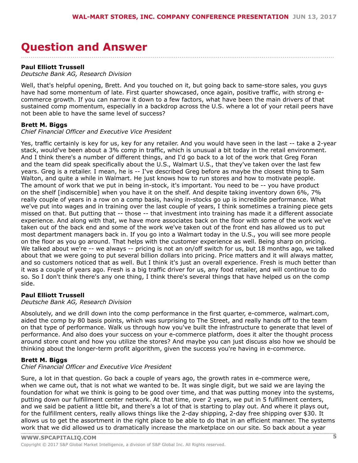#### <span id="page-4-0"></span> $*(\$ + \# \# 0 \# \$ - ($

 $+$  \* \$ \$ (



 $\left( \begin{array}{cc} & \cdot & \cdot \\ \cdot & \cdot & \cdot \end{array} \right)$  ) \$

\*  $+$  \*\$\$(

 $$ ! ($ 



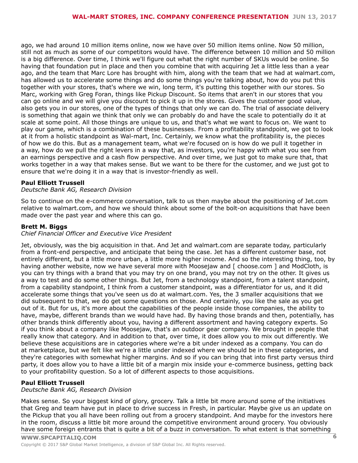$\begin{array}{ccc} . & . & . \\ . & . & . \end{array}$  $\mathbf{I}$  $\mathbf{I}$  $($ !

&  $($   $)$   $)$   $\$ 



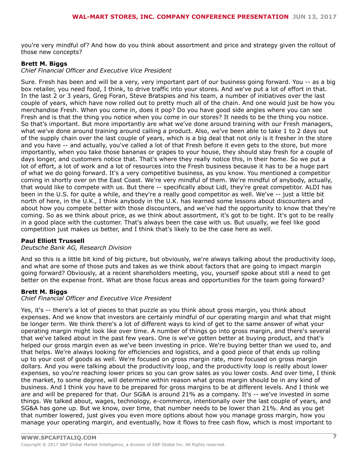( ) & "( "6\$, ) ( ) ( !! & ) !<br>! , !6  $\overline{a}$   $\overline{a}$   $\overline{a}$   $\overline{a}$   $\overline{a}$   $\overline{a}$   $\overline{a}$   $\overline{a}$   $\overline{a}$   $\overline{a}$   $\overline{a}$   $\overline{a}$   $\overline{a}$   $\overline{a}$   $\overline{a}$   $\overline{a}$   $\overline{a}$   $\overline{a}$   $\overline{a}$   $\overline{a}$   $\overline{a}$   $\overline{a}$   $\overline{a}$   $\overline{a}$   $\overline{$ 

 $($   $)$   $)$   $\$ 

 $+$  \* \$ \$ (

 $6\phantom{1}6$  $($   $\qquad$   $)$   $)$  \$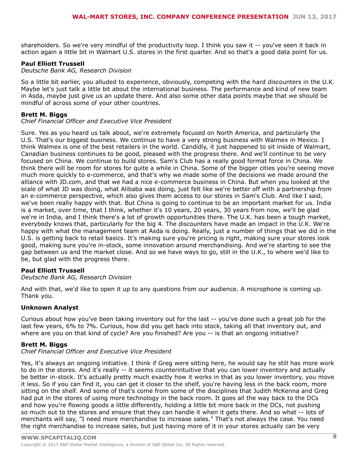$\frac{1}{2}$   $\frac{1}{2}$   $\frac{1}{2}$   $\frac{1}{2}$   $\frac{1}{2}$   $\frac{1}{2}$   $\frac{1}{2}$   $\frac{1}{2}$   $\frac{1}{2}$   $\frac{1}{2}$   $\frac{1}{2}$   $\frac{1}{2}$   $\frac{1}{2}$   $\frac{1}{2}$   $\frac{1}{2}$   $\frac{1}{2}$   $\frac{1}{2}$   $\frac{1}{2}$   $\frac{1}{2}$   $\frac{1}{2}$   $\frac{1}{2}$   $\frac{1}{2}$   $*$  \$ \$ (

 $\left( \begin{array}{cc} & \cdot & \cdot \\ \cdot & \cdot & \cdot \end{array} \right)$  ) \$

 $+$  \*\$\$(

 $\begin{array}{ccc} \text{\$} & , & , \end{array}$ <br>  $(\#$ 

#, # + - # #  $\cdot$  \$

 $($   $($ !  $($   $,$   $)$ <br>  $($   $)$   $($   $)$   $($   $)$   $($   $)$   $($   $)$   $($   $)$   $($   $)$   $($   $)$   $($   $)$   $($   $)$   $($   $)$   $($   $)$   $($   $)$   $($   $)$   $($   $)$   $($   $)$   $($   $)$   $($   $)$   $($   $)$   $($   $)$   $($   $)$   $($   $)$   $($   $)$   $($   $)$   $($   $)$  $($   $)$   $)$   $)$   $\frac{1}{2}$ 



 $\blacksquare$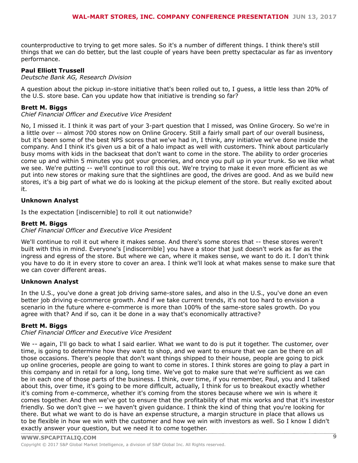$$5() !$   $($   $($  !  $) !$   $($   $($  !  $) !$   $($   $($  !  $) !$   $: "$ 

 $($   $)$   $)$   $\$ 

 $#$ 

#.#+-# # .\$

 $\frac{1}{2}$  / <  $\frac{1}{2}$  = (, , 6

 $($   $)$   $)$   $)$   $)$ 

 $\begin{pmatrix} 1 & 1 \\ 1 & 1 \end{pmatrix}$ 

#, # + - # #  $\cdot$  \$

 $+# #$  ()  $\begin{array}{ccc} & . & . & . & . \\ & & 4 & & \\ 1 & & & \sqrt{6} \\ & & . & & 6 \ \end{array}$ & & " $($  (  $^{\circ}$  1  $^{-}$ 

 $($   $)$   $)$   $\$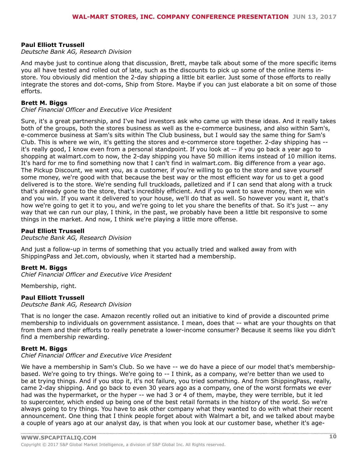$*$  +  $*$ \$\$(

 $\begin{array}{cccccccccccccccc} \textbf{S} & \textbf{S} & \textbf{A} & \textbf{I} & \textbf{I} & \textbf{I} & \textbf{I} & \textbf{I} & \textbf{I} & \textbf{I} & \textbf{I} & \textbf{I} & \textbf{I} & \textbf{I} & \textbf{I} & \textbf{I} & \textbf{I} & \textbf{I} & \textbf{I} & \textbf{I} & \textbf{I} & \textbf{I} & \textbf{I} & \textbf{I} & \textbf{I} & \textbf{I} & \textbf{I} & \textbf{I} & \textbf{I} & \textbf{I} &$  $\overline{\phantom{a}}$   $\overline{\phantom{a}}$   $\overline{\phantom{a}}$   $\overline{\phantom{a}}$   $\overline{\phantom{a}}$   $\overline{\phantom{a}}$   $\overline{\phantom{a}}$   $\overline{\phantom{a}}$   $\overline{\phantom{a}}$   $\overline{\phantom{a}}$   $\overline{\phantom{a}}$   $\overline{\phantom{a}}$   $\overline{\phantom{a}}$   $\overline{\phantom{a}}$   $\overline{\phantom{a}}$   $\overline{\phantom{a}}$   $\overline{\phantom{a}}$   $\overline{\phantom{a}}$   $\overline{\$ 

 $($   $)$   $)$   $)$   $)$ 

\*  $+$  \* \$\$(

 $'$  (  $'$ )) \$

 $8 \t + \t$ 

\*  $+$  \* \$ \$ (

 $($   $)$   $)$   $)$   $)$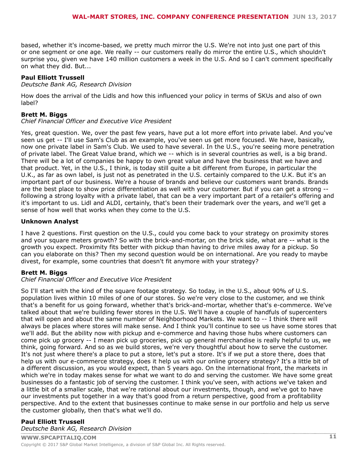# 2 (  $# # #$  $\overline{a}$  +  $*$  \$ \$ (

@, ! " G ! , ! "( ( &! "F+! ! " , 6

 $($   $)$   $)$   $)$   $)$ 

 $# 4 + - 4 + 4$ 

 $\left( \begin{array}{cc} & \cdot & \cdot \\ \cdot & \cdot & \cdot \end{array} \right)$ 



\*  $+$  \* \$\$(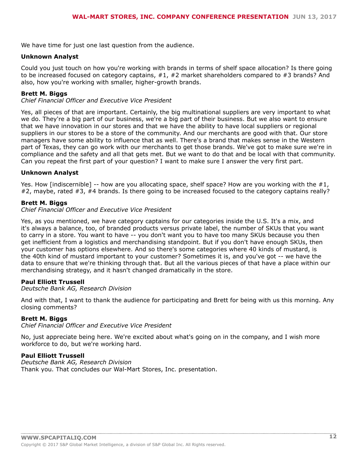$8''$  4!!  $5(1'$  8 (#

#, # + - # #  $\cdot$  \$

 $\begin{array}{ccccccccc} & 1 & & & , & ( & ) & , & \end{array}$ , 18  $,$   $\frac{1}{4}$  $\left( \begin{array}{cc} & \cdot & \cdot \\ \cdot & \cdot & \cdot \end{array} \right)$  ) \$

 $\begin{array}{cccccccccccc} 7 & 1 & & & 1 & & 8 & & & \# \\ 1 & & & & & & & 1 & & \end{array}$  and  $\begin{array}{cccccccccccc} 7 & 1 & & & & 1 & & \& & & & 1 & & \& & & & & 1 & \end{array}$  and  $\begin{array}{cccccccccccc} 8 & & & & & & 1 & & \& & & & 1 & & \& & & & 1 & & \& & & & & 1 & \end{array}$  and  $\begin{array}{cccccccccccc} 1 & & & & & & 1 & & \& & & & & 1 & \& & & & & 1 & \end{array}$  and  $\begin{$ (1 11, )<br>
(1 11, )<br>
(1 11, )<br>
(1 11, )<br>
(1 11, )<br>
(1 11, )<br>
(1 11, 2<br>
(1 11, 1<br>
(1 11, 1<br>
(1 11, 1<br>
(1 11, 1<br>
(1 11, 1<br>
(1 11, 1<br>
(1 11, 1<br>
(1 11, 1<br>
(1 11, 1<br>
(1 11, 1<br>
(1 11, 1<br>
(1 1, 1<br>
(1 1, 1<br>
(1 1, 1<br>
(1 1, 1<br>
(1 1, & & (#

#, # + - # #  $\cdot$  \$

 $)!$ 

 $\overline{a}$ 

&

 $7! \# @$ , <  $\vdots$  = , (  $\vdots$   $\vdots$   $\vdots$   $\vdots$   $\vdots$   $\vdots$   $\vdots$   $\vdots$   $\vdots$   $\vdots$   $\vdots$   $\vdots$   $\vdots$   $\vdots$   $\vdots$   $\vdots$   $\vdots$   $\vdots$   $\vdots$   $\vdots$   $\vdots$   $\vdots$   $\vdots$  $($   $)$   $)$   $)$   $\frac{1}{2}$ 

\*  $+$  \* \$\$(

 $\left( \begin{array}{ccc} & & & 0 & \cdots \end{array} \right)$  $2$  ",  $(1 \t 1 \t 8 \t #\$)$  $\begin{array}{ccc} \text{\$} & , & \text{\$} & , \ \text{\$} & \text{\$} & \text{\$} & \text{\$} & \text{\$} \end{array}$ 

 $\left( \begin{array}{cc} & \cdot & \cdot \\ \cdot & \cdot & \cdot \end{array} \right)$ 

 $(\#^* \qquad \qquad (-\quad \ \ (\qquad \ \ \, \cdot \qquad \qquad \ \, \cdot \qquad \ \ \, \cdot \qquad \ \ \, \cdot \qquad \ \ \, \cdot \qquad \ \ \, \# \qquad \ \, \cdot \qquad \ \ \, \#$